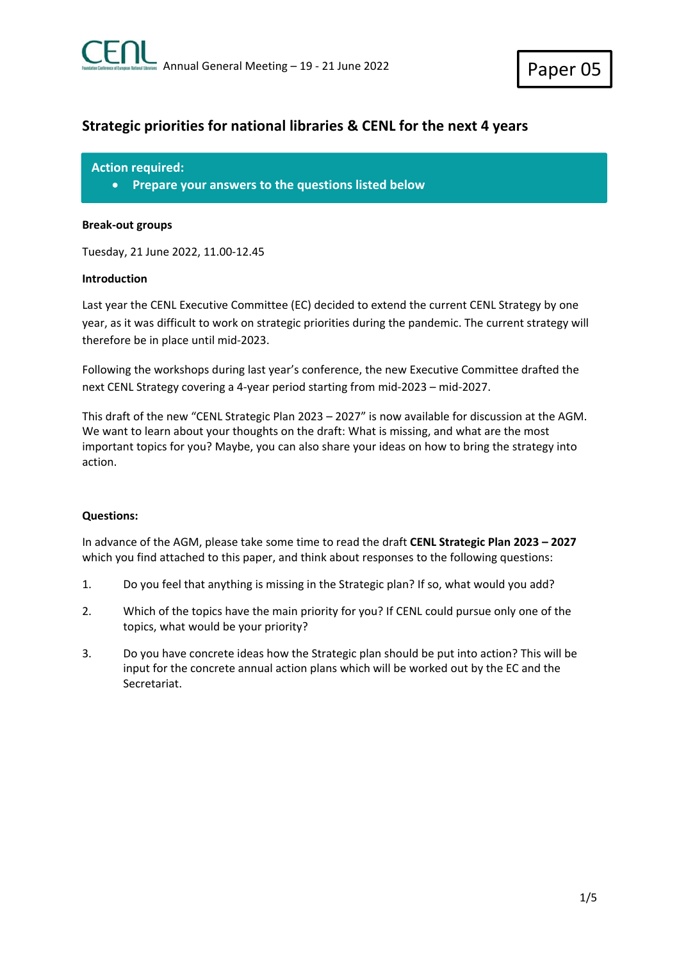# **Strategic priorities for national libraries & CENL for the next 4 years**

**Action required:** 

**Prepare your answers to the questions listed below** 

# **Break‐out groups**

Tuesday, 21 June 2022, 11.00‐12.45

# **Introduction**

Last year the CENL Executive Committee (EC) decided to extend the current CENL Strategy by one year, as it was difficult to work on strategic priorities during the pandemic. The current strategy will therefore be in place until mid‐2023.

Following the workshops during last year's conference, the new Executive Committee drafted the next CENL Strategy covering a 4‐year period starting from mid‐2023 – mid‐2027.

This draft of the new "CENL Strategic Plan 2023 – 2027" is now available for discussion at the AGM. We want to learn about your thoughts on the draft: What is missing, and what are the most important topics for you? Maybe, you can also share your ideas on how to bring the strategy into action.

# **Questions:**

In advance of the AGM, please take some time to read the draft **CENL Strategic Plan 2023 – 2027** which you find attached to this paper, and think about responses to the following questions:

- 1. Do you feel that anything is missing in the Strategic plan? If so, what would you add?
- 2. Which of the topics have the main priority for you? If CENL could pursue only one of the topics, what would be your priority?
- 3. Do you have concrete ideas how the Strategic plan should be put into action? This will be input for the concrete annual action plans which will be worked out by the EC and the Secretariat.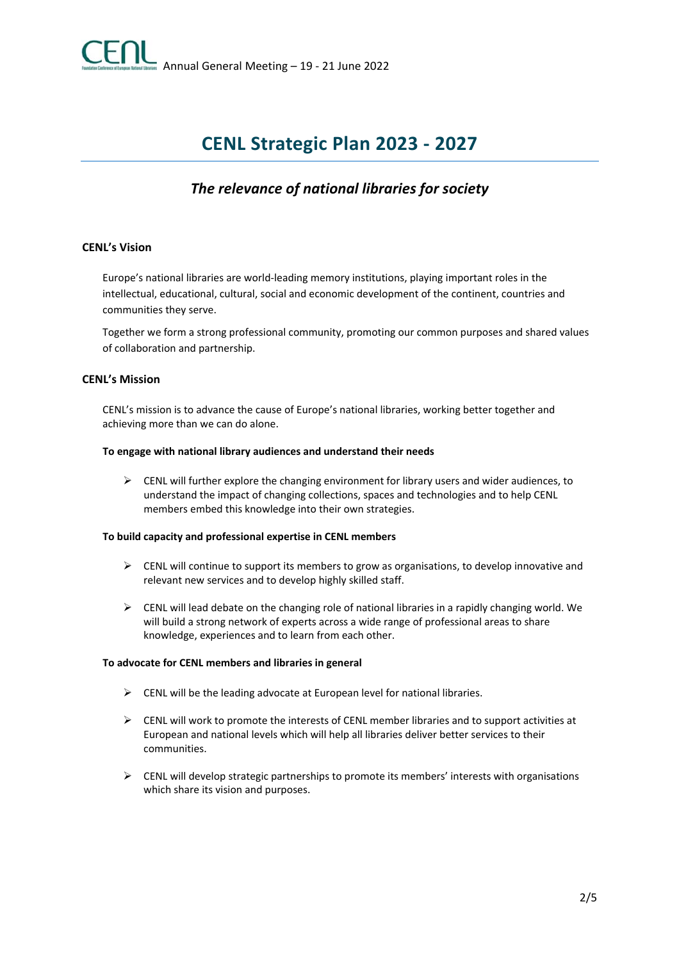

# **CENL Strategic Plan 2023 ‐ 2027**

# *The relevance of national libraries for society*

# **CENL's Vision**

Europe's national libraries are world‐leading memory institutions, playing important roles in the intellectual, educational, cultural, social and economic development of the continent, countries and communities they serve.

Together we form a strong professional community, promoting our common purposes and shared values of collaboration and partnership.

### **CENL's Mission**

CENL's mission is to advance the cause of Europe's national libraries, working better together and achieving more than we can do alone.

#### **To engage with national library audiences and understand their needs**

 $\triangleright$  CENL will further explore the changing environment for library users and wider audiences, to understand the impact of changing collections, spaces and technologies and to help CENL members embed this knowledge into their own strategies.

### **To build capacity and professional expertise in CENL members**

- $\triangleright$  CENL will continue to support its members to grow as organisations, to develop innovative and relevant new services and to develop highly skilled staff.
- $\triangleright$  CENL will lead debate on the changing role of national libraries in a rapidly changing world. We will build a strong network of experts across a wide range of professional areas to share knowledge, experiences and to learn from each other.

#### **To advocate for CENL members and libraries in general**

- $\triangleright$  CENL will be the leading advocate at European level for national libraries.
- $\triangleright$  CENL will work to promote the interests of CENL member libraries and to support activities at European and national levels which will help all libraries deliver better services to their communities.
- $\triangleright$  CENL will develop strategic partnerships to promote its members' interests with organisations which share its vision and purposes.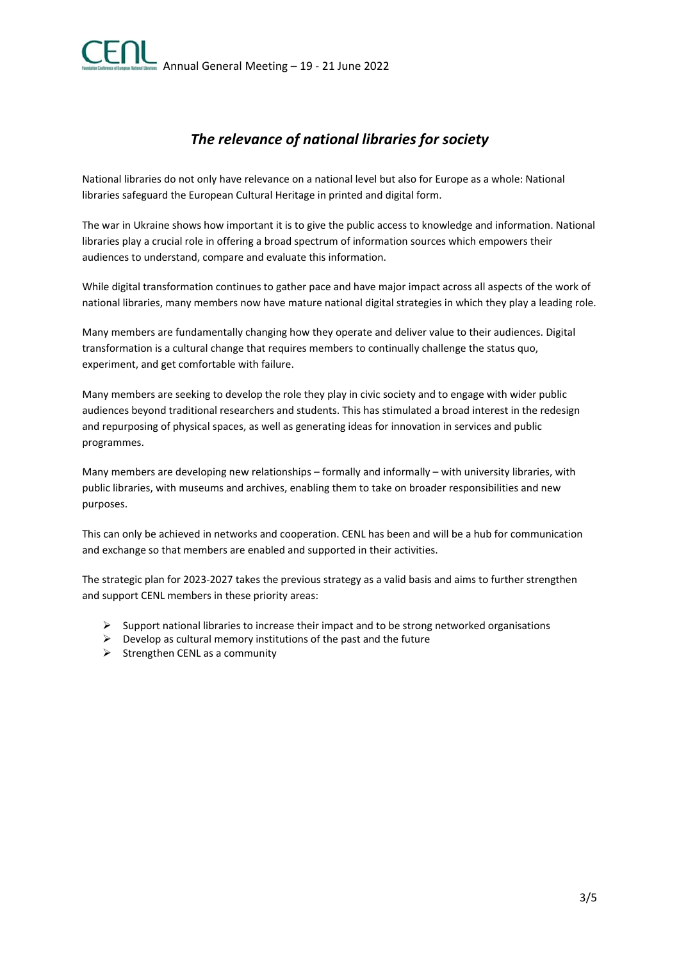# *The relevance of national libraries for society*

National libraries do not only have relevance on a national level but also for Europe as a whole: National libraries safeguard the European Cultural Heritage in printed and digital form.

The war in Ukraine shows how important it is to give the public access to knowledge and information. National libraries play a crucial role in offering a broad spectrum of information sources which empowers their audiences to understand, compare and evaluate this information.

While digital transformation continues to gather pace and have major impact across all aspects of the work of national libraries, many members now have mature national digital strategies in which they play a leading role.

Many members are fundamentally changing how they operate and deliver value to their audiences. Digital transformation is a cultural change that requires members to continually challenge the status quo, experiment, and get comfortable with failure.

Many members are seeking to develop the role they play in civic society and to engage with wider public audiences beyond traditional researchers and students. This has stimulated a broad interest in the redesign and repurposing of physical spaces, as well as generating ideas for innovation in services and public programmes.

Many members are developing new relationships – formally and informally – with university libraries, with public libraries, with museums and archives, enabling them to take on broader responsibilities and new purposes.

This can only be achieved in networks and cooperation. CENL has been and will be a hub for communication and exchange so that members are enabled and supported in their activities.

The strategic plan for 2023‐2027 takes the previous strategy as a valid basis and aims to further strengthen and support CENL members in these priority areas:

- $\triangleright$  Support national libraries to increase their impact and to be strong networked organisations
- $\triangleright$  Develop as cultural memory institutions of the past and the future
- $\triangleright$  Strengthen CENL as a community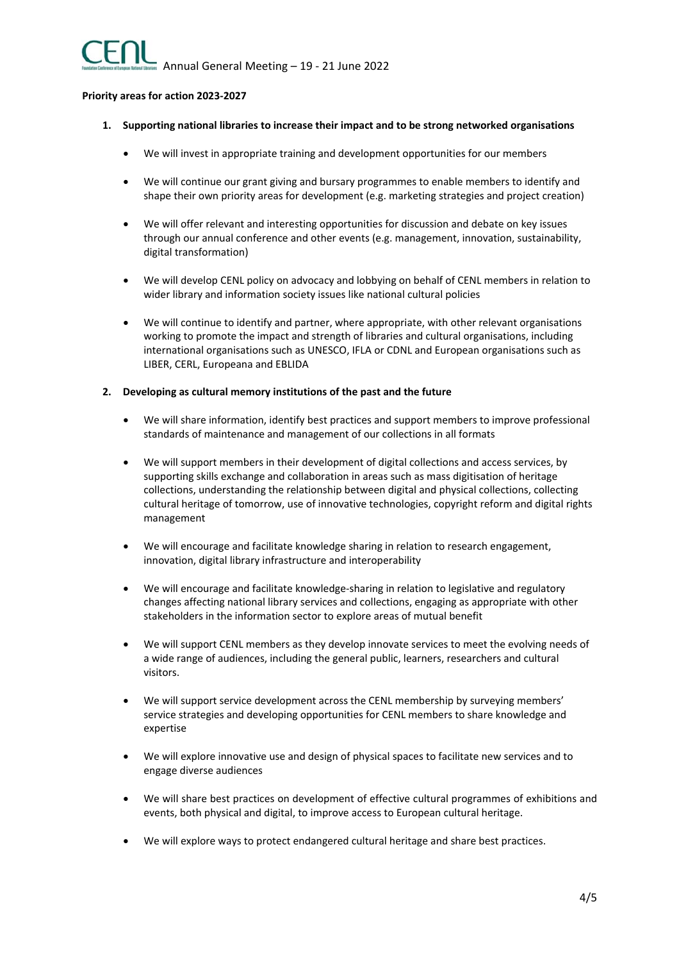#### **Priority areas for action 2023‐2027**

- **1. Supporting national libraries to increase their impact and to be strong networked organisations** 
	- We will invest in appropriate training and development opportunities for our members
	- We will continue our grant giving and bursary programmes to enable members to identify and shape their own priority areas for development (e.g. marketing strategies and project creation)
	- We will offer relevant and interesting opportunities for discussion and debate on key issues through our annual conference and other events (e.g. management, innovation, sustainability, digital transformation)
	- We will develop CENL policy on advocacy and lobbying on behalf of CENL members in relation to wider library and information society issues like national cultural policies
	- We will continue to identify and partner, where appropriate, with other relevant organisations working to promote the impact and strength of libraries and cultural organisations, including international organisations such as UNESCO, IFLA or CDNL and European organisations such as LIBER, CERL, Europeana and EBLIDA

#### **2. Developing as cultural memory institutions of the past and the future**

- We will share information, identify best practices and support members to improve professional standards of maintenance and management of our collections in all formats
- We will support members in their development of digital collections and access services, by supporting skills exchange and collaboration in areas such as mass digitisation of heritage collections, understanding the relationship between digital and physical collections, collecting cultural heritage of tomorrow, use of innovative technologies, copyright reform and digital rights management
- We will encourage and facilitate knowledge sharing in relation to research engagement, innovation, digital library infrastructure and interoperability
- We will encourage and facilitate knowledge-sharing in relation to legislative and regulatory changes affecting national library services and collections, engaging as appropriate with other stakeholders in the information sector to explore areas of mutual benefit
- We will support CENL members as they develop innovate services to meet the evolving needs of a wide range of audiences, including the general public, learners, researchers and cultural visitors.
- We will support service development across the CENL membership by surveying members' service strategies and developing opportunities for CENL members to share knowledge and expertise
- We will explore innovative use and design of physical spaces to facilitate new services and to engage diverse audiences
- We will share best practices on development of effective cultural programmes of exhibitions and events, both physical and digital, to improve access to European cultural heritage.
- We will explore ways to protect endangered cultural heritage and share best practices.